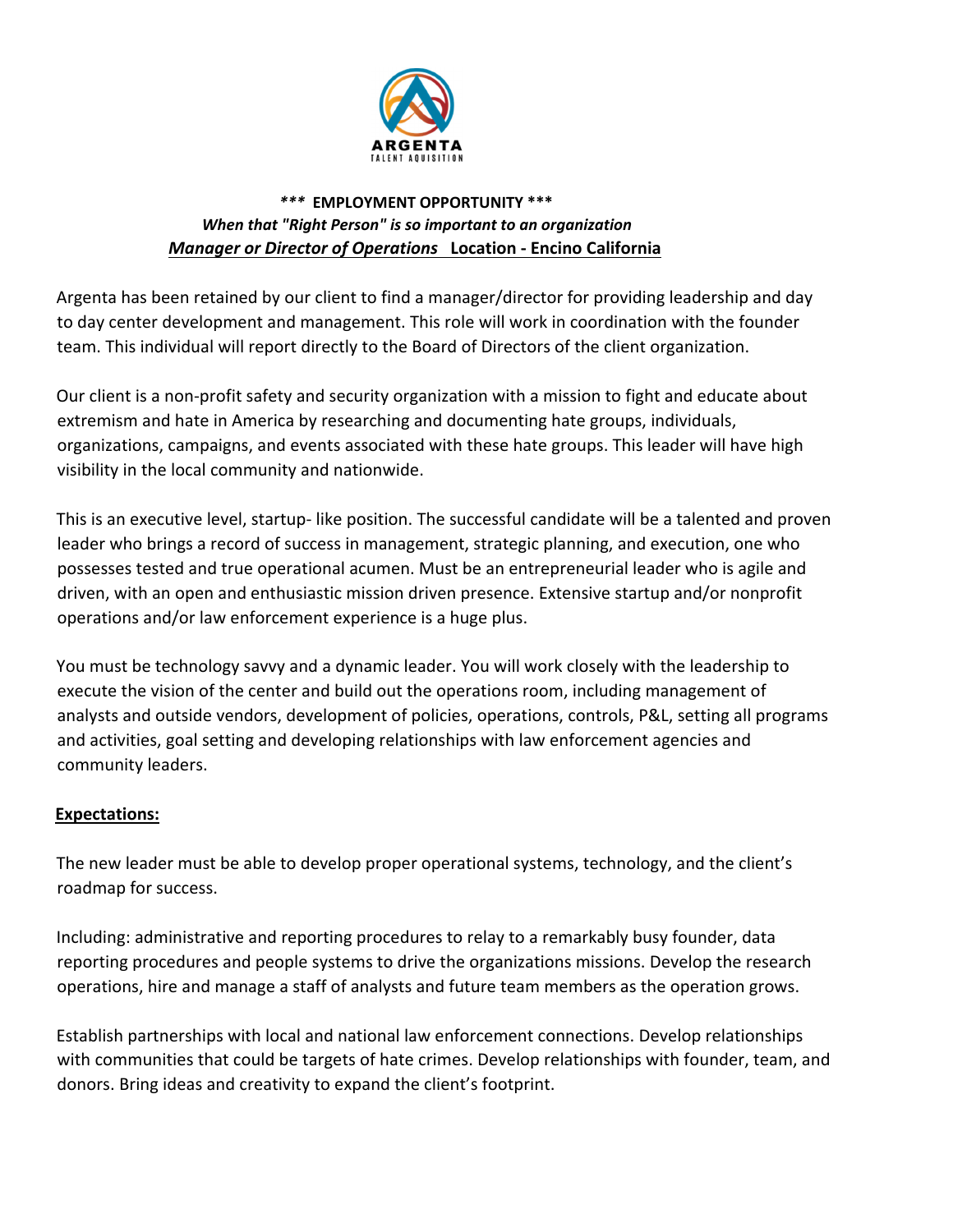

#### *\*\*\** **EMPLOYMENT OPPORTUNITY \*\*\*** *When that "Right Person" is so important to an organization Manager or Director of Operations* **Location ‐ Encino California**

Argenta has been retained by our client to find a manager/director for providing leadership and day to day center development and management. This role will work in coordination with the founder team. This individual will report directly to the Board of Directors of the client organization.

Our client is a non‐profit safety and security organization with a mission to fight and educate about extremism and hate in America by researching and documenting hate groups, individuals, organizations, campaigns, and events associated with these hate groups. This leader will have high visibility in the local community and nationwide.

This is an executive level, startup‐ like position. The successful candidate will be a talented and proven leader who brings a record of success in management, strategic planning, and execution, one who possesses tested and true operational acumen. Must be an entrepreneurial leader who is agile and driven, with an open and enthusiastic mission driven presence. Extensive startup and/or nonprofit operations and/or law enforcement experience is a huge plus.

You must be technology savvy and a dynamic leader. You will work closely with the leadership to execute the vision of the center and build out the operations room, including management of analysts and outside vendors, development of policies, operations, controls, P&L, setting all programs and activities, goal setting and developing relationships with law enforcement agencies and community leaders.

#### **Expectations:**

The new leader must be able to develop proper operational systems, technology, and the client's roadmap for success.

Including: administrative and reporting procedures to relay to a remarkably busy founder, data reporting procedures and people systems to drive the organizations missions. Develop the research operations, hire and manage a staff of analysts and future team members as the operation grows.

Establish partnerships with local and national law enforcement connections. Develop relationships with communities that could be targets of hate crimes. Develop relationships with founder, team, and donors. Bring ideas and creativity to expand the client's footprint.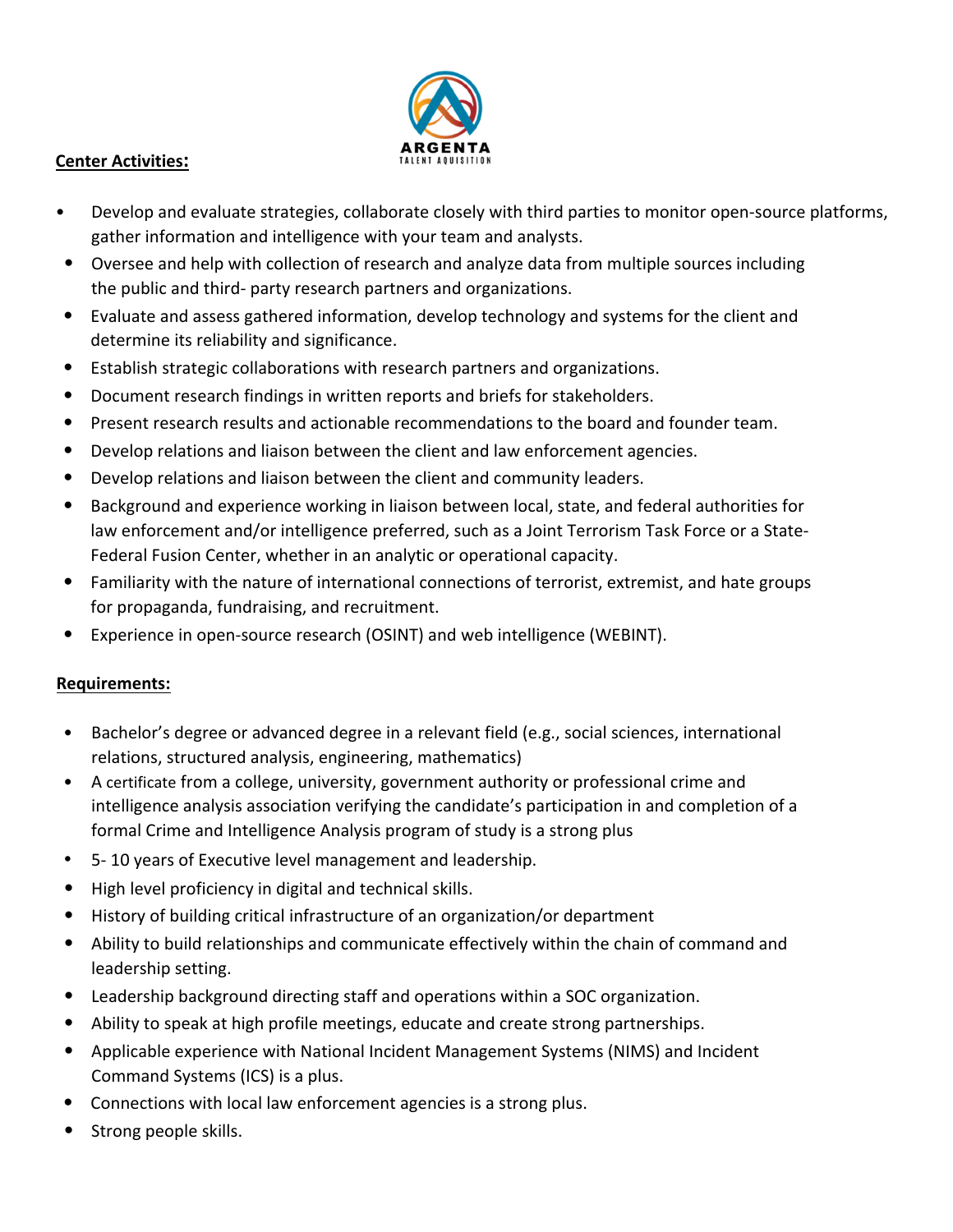

#### **Center Activities:**

- Develop and evaluate strategies, collaborate closely with third parties to monitor open-source platforms, gather information and intelligence with your team and analysts.
- Oversee and help with collection of research and analyze data from multiple sources including the public and third‐ party research partners and organizations.
- Evaluate and assess gathered information, develop technology and systems for the client and determine its reliability and significance.
- Establish strategic collaborations with research partners and organizations.
- Document research findings in written reports and briefs for stakeholders.
- Present research results and actionable recommendations to the board and founder team.
- Develop relations and liaison between the client and law enforcement agencies.
- Develop relations and liaison between the client and community leaders.
- Background and experience working in liaison between local, state, and federal authorities for law enforcement and/or intelligence preferred, such as a Joint Terrorism Task Force or a State‐ Federal Fusion Center, whether in an analytic or operational capacity.
- Familiarity with the nature of international connections of terrorist, extremist, and hate groups for propaganda, fundraising, and recruitment.
- Experience in open‐source research (OSINT) and web intelligence (WEBINT).

# **Requirements:**

- Bachelor's degree or advanced degree in a relevant field (e.g., social sciences, international relations, structured analysis, engineering, mathematics)
- A certificate from a college, university, government authority or professional crime and intelligence analysis association verifying the candidate's participation in and completion of a formal Crime and Intelligence Analysis program of study is a strong plus
- 5‐ 10 years of Executive level management and leadership.
- High level proficiency in digital and technical skills.
- History of building critical infrastructure of an organization/or department
- Ability to build relationships and communicate effectively within the chain of command and leadership setting.
- Leadership background directing staff and operations within a SOC organization.
- Ability to speak at high profile meetings, educate and create strong partnerships.
- Applicable experience with National Incident Management Systems (NIMS) and Incident Command Systems (ICS) is a plus.
- Connections with local law enforcement agencies is a strong plus.
- Strong people skills.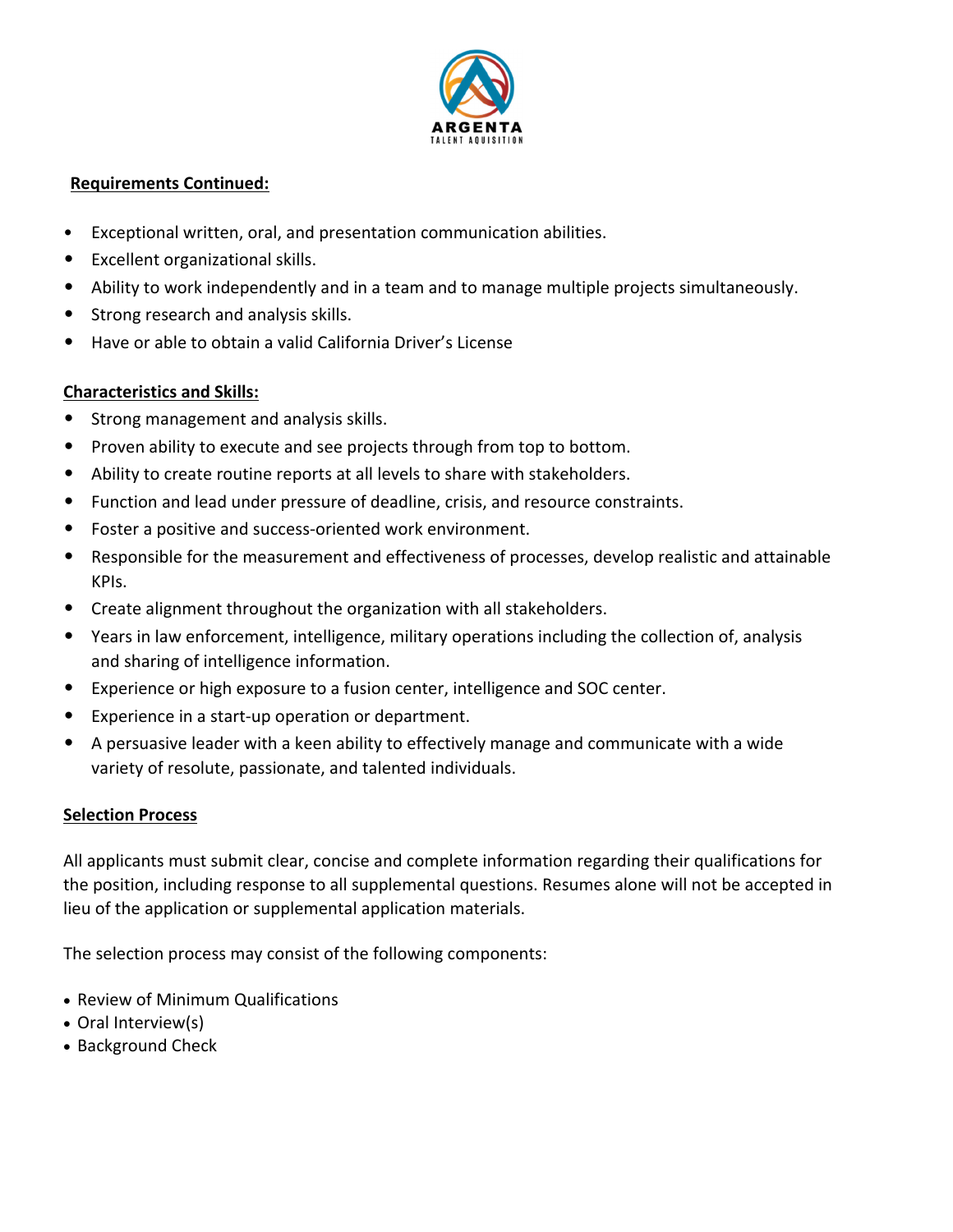

### **Requirements Continued:**

- Exceptional written, oral, and presentation communication abilities.
- Excellent organizational skills.
- Ability to work independently and in a team and to manage multiple projects simultaneously.
- Strong research and analysis skills.
- Have or able to obtain a valid California Driver's License

# **Characteristics and Skills:**

- Strong management and analysis skills.
- Proven ability to execute and see projects through from top to bottom.
- Ability to create routine reports at all levels to share with stakeholders.
- Function and lead under pressure of deadline, crisis, and resource constraints.
- Foster a positive and success‐oriented work environment.
- Responsible for the measurement and effectiveness of processes, develop realistic and attainable KPIs.
- Create alignment throughout the organization with all stakeholders.
- Years in law enforcement, intelligence, military operations including the collection of, analysis and sharing of intelligence information.
- Experience or high exposure to a fusion center, intelligence and SOC center.
- Experience in a start‐up operation or department.
- A persuasive leader with a keen ability to effectively manage and communicate with a wide variety of resolute, passionate, and talented individuals.

# **Selection Process**

All applicants must submit clear, concise and complete information regarding their qualifications for the position, including response to all supplemental questions. Resumes alone will not be accepted in lieu of the application or supplemental application materials.

The selection process may consist of the following components:

- Review of Minimum Qualifications
- Oral Interview(s)
- Background Check